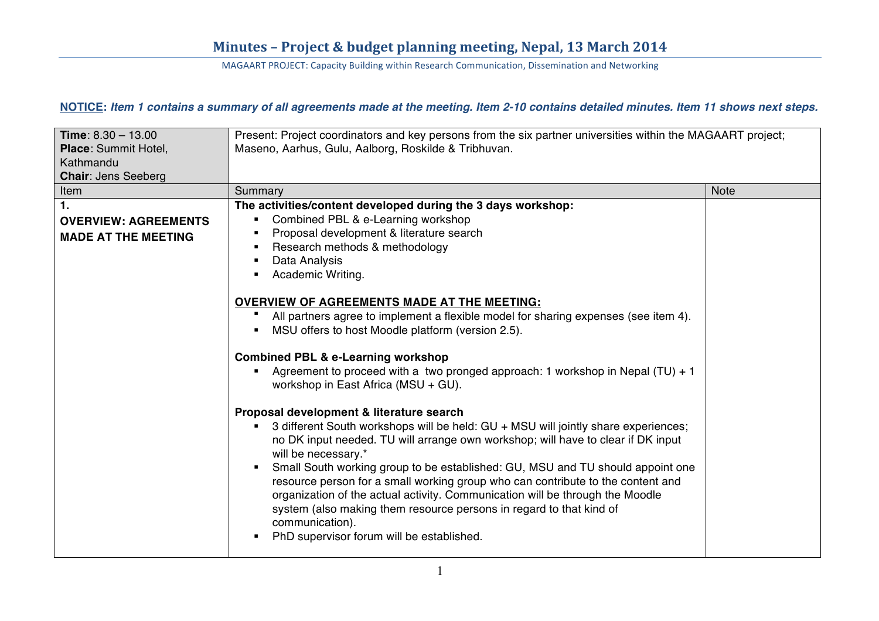### NOTICE: Item 1 contains a summary of all agreements made at the meeting. Item 2-10 contains detailed minutes. Item 11 shows next steps.

| Time: $8.30 - 13.00$<br>Place: Summit Hotel,<br>Kathmandu<br><b>Chair: Jens Seeberg</b> | Present: Project coordinators and key persons from the six partner universities within the MAGAART project;<br>Maseno, Aarhus, Gulu, Aalborg, Roskilde & Tribhuvan.                                                                                                                                                                                                                                                                                                                                                                                                                                                                                      |             |
|-----------------------------------------------------------------------------------------|----------------------------------------------------------------------------------------------------------------------------------------------------------------------------------------------------------------------------------------------------------------------------------------------------------------------------------------------------------------------------------------------------------------------------------------------------------------------------------------------------------------------------------------------------------------------------------------------------------------------------------------------------------|-------------|
| Item                                                                                    | Summary                                                                                                                                                                                                                                                                                                                                                                                                                                                                                                                                                                                                                                                  | <b>Note</b> |
| $\mathbf{1}$ .<br><b>OVERVIEW: AGREEMENTS</b><br><b>MADE AT THE MEETING</b>             | The activities/content developed during the 3 days workshop:<br>Combined PBL & e-Learning workshop<br>Proposal development & literature search<br>Research methods & methodology<br>п<br>Data Analysis<br>п<br>Academic Writing.                                                                                                                                                                                                                                                                                                                                                                                                                         |             |
|                                                                                         | <b>OVERVIEW OF AGREEMENTS MADE AT THE MEETING:</b><br>All partners agree to implement a flexible model for sharing expenses (see item 4).<br>MSU offers to host Moodle platform (version 2.5).<br><b>Combined PBL &amp; e-Learning workshop</b><br>Agreement to proceed with a two pronged approach: 1 workshop in Nepal (TU) + 1<br>workshop in East Africa (MSU + GU).                                                                                                                                                                                                                                                                                 |             |
|                                                                                         | Proposal development & literature search<br>3 different South workshops will be held: GU + MSU will jointly share experiences;<br>no DK input needed. TU will arrange own workshop; will have to clear if DK input<br>will be necessary.*<br>Small South working group to be established: GU, MSU and TU should appoint one<br>$\blacksquare$<br>resource person for a small working group who can contribute to the content and<br>organization of the actual activity. Communication will be through the Moodle<br>system (also making them resource persons in regard to that kind of<br>communication).<br>PhD supervisor forum will be established. |             |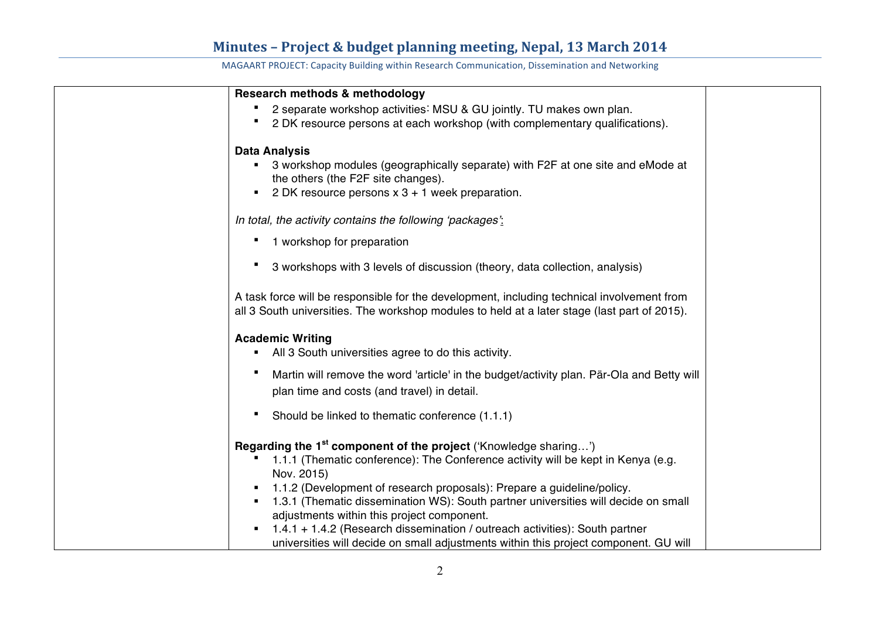| Research methods & methodology                                                                 |
|------------------------------------------------------------------------------------------------|
| 2 separate workshop activities: MSU & GU jointly. TU makes own plan.                           |
| 2 DK resource persons at each workshop (with complementary qualifications).                    |
|                                                                                                |
| <b>Data Analysis</b>                                                                           |
| 3 workshop modules (geographically separate) with F2F at one site and eMode at                 |
| the others (the F2F site changes).                                                             |
| 2 DK resource persons $x$ 3 + 1 week preparation.                                              |
| In total, the activity contains the following 'packages':                                      |
| 1 workshop for preparation                                                                     |
|                                                                                                |
| 3 workshops with 3 levels of discussion (theory, data collection, analysis)                    |
|                                                                                                |
| A task force will be responsible for the development, including technical involvement from     |
| all 3 South universities. The workshop modules to held at a later stage (last part of 2015).   |
|                                                                                                |
| <b>Academic Writing</b>                                                                        |
| All 3 South universities agree to do this activity.                                            |
| п<br>Martin will remove the word 'article' in the budget/activity plan. Pär-Ola and Betty will |
| plan time and costs (and travel) in detail.                                                    |
|                                                                                                |
| Should be linked to thematic conference (1.1.1)                                                |
|                                                                                                |
| Regarding the 1 <sup>st</sup> component of the project ('Knowledge sharing')                   |
| 1.1.1 (Thematic conference): The Conference activity will be kept in Kenya (e.g.               |
| Nov. 2015)                                                                                     |
| 1.1.2 (Development of research proposals): Prepare a guideline/policy.                         |
| 1.3.1 (Thematic dissemination WS): South partner universities will decide on small             |
| adjustments within this project component.                                                     |
| $1.4.1 + 1.4.2$ (Research dissemination / outreach activities): South partner                  |
| universities will decide on small adjustments within this project component. GU will           |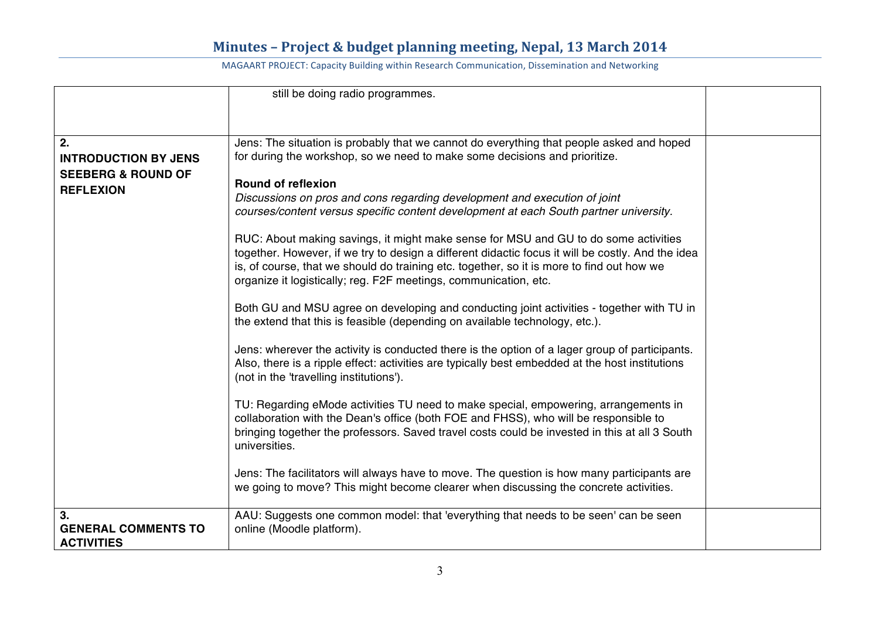|                                                       | still be doing radio programmes.                                                                                                                                                                                                                                                                                                                          |  |
|-------------------------------------------------------|-----------------------------------------------------------------------------------------------------------------------------------------------------------------------------------------------------------------------------------------------------------------------------------------------------------------------------------------------------------|--|
|                                                       |                                                                                                                                                                                                                                                                                                                                                           |  |
|                                                       |                                                                                                                                                                                                                                                                                                                                                           |  |
| 2.<br><b>INTRODUCTION BY JENS</b>                     | Jens: The situation is probably that we cannot do everything that people asked and hoped<br>for during the workshop, so we need to make some decisions and prioritize.                                                                                                                                                                                    |  |
| <b>SEEBERG &amp; ROUND OF</b>                         |                                                                                                                                                                                                                                                                                                                                                           |  |
| <b>REFLEXION</b>                                      | <b>Round of reflexion</b>                                                                                                                                                                                                                                                                                                                                 |  |
|                                                       | Discussions on pros and cons regarding development and execution of joint<br>courses/content versus specific content development at each South partner university.                                                                                                                                                                                        |  |
|                                                       | RUC: About making savings, it might make sense for MSU and GU to do some activities<br>together. However, if we try to design a different didactic focus it will be costly. And the idea<br>is, of course, that we should do training etc. together, so it is more to find out how we<br>organize it logistically; reg. F2F meetings, communication, etc. |  |
|                                                       | Both GU and MSU agree on developing and conducting joint activities - together with TU in<br>the extend that this is feasible (depending on available technology, etc.).                                                                                                                                                                                  |  |
|                                                       | Jens: wherever the activity is conducted there is the option of a lager group of participants.<br>Also, there is a ripple effect: activities are typically best embedded at the host institutions<br>(not in the 'travelling institutions').                                                                                                              |  |
|                                                       | TU: Regarding eMode activities TU need to make special, empowering, arrangements in<br>collaboration with the Dean's office (both FOE and FHSS), who will be responsible to<br>bringing together the professors. Saved travel costs could be invested in this at all 3 South<br>universities.                                                             |  |
|                                                       | Jens: The facilitators will always have to move. The question is how many participants are<br>we going to move? This might become clearer when discussing the concrete activities.                                                                                                                                                                        |  |
| 3.<br><b>GENERAL COMMENTS TO</b><br><b>ACTIVITIES</b> | AAU: Suggests one common model: that 'everything that needs to be seen' can be seen<br>online (Moodle platform).                                                                                                                                                                                                                                          |  |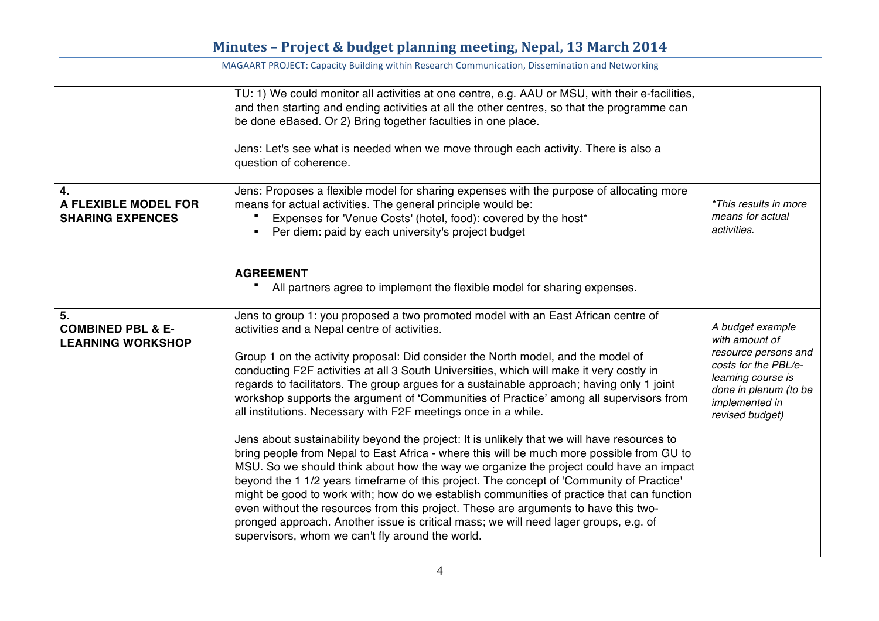|                                                                | TU: 1) We could monitor all activities at one centre, e.g. AAU or MSU, with their e-facilities,<br>and then starting and ending activities at all the other centres, so that the programme can<br>be done eBased. Or 2) Bring together faculties in one place.<br>Jens: Let's see what is needed when we move through each activity. There is also a<br>question of coherence.                                                                                                                                                                                                                                                                                                                                                                                                                                                                                                                                                                                                                                                                                                                                                                                                                                                                                                               |                                                                                                                                                                        |
|----------------------------------------------------------------|----------------------------------------------------------------------------------------------------------------------------------------------------------------------------------------------------------------------------------------------------------------------------------------------------------------------------------------------------------------------------------------------------------------------------------------------------------------------------------------------------------------------------------------------------------------------------------------------------------------------------------------------------------------------------------------------------------------------------------------------------------------------------------------------------------------------------------------------------------------------------------------------------------------------------------------------------------------------------------------------------------------------------------------------------------------------------------------------------------------------------------------------------------------------------------------------------------------------------------------------------------------------------------------------|------------------------------------------------------------------------------------------------------------------------------------------------------------------------|
| 4.<br><b>A FLEXIBLE MODEL FOR</b><br><b>SHARING EXPENCES</b>   | Jens: Proposes a flexible model for sharing expenses with the purpose of allocating more<br>means for actual activities. The general principle would be:<br>Expenses for 'Venue Costs' (hotel, food): covered by the host*<br>Per diem: paid by each university's project budget<br><b>AGREEMENT</b><br>All partners agree to implement the flexible model for sharing expenses.                                                                                                                                                                                                                                                                                                                                                                                                                                                                                                                                                                                                                                                                                                                                                                                                                                                                                                             | *This results in more<br>means for actual<br>activities.                                                                                                               |
| 5.<br><b>COMBINED PBL &amp; E-</b><br><b>LEARNING WORKSHOP</b> | Jens to group 1: you proposed a two promoted model with an East African centre of<br>activities and a Nepal centre of activities.<br>Group 1 on the activity proposal: Did consider the North model, and the model of<br>conducting F2F activities at all 3 South Universities, which will make it very costly in<br>regards to facilitators. The group argues for a sustainable approach; having only 1 joint<br>workshop supports the argument of 'Communities of Practice' among all supervisors from<br>all institutions. Necessary with F2F meetings once in a while.<br>Jens about sustainability beyond the project: It is unlikely that we will have resources to<br>bring people from Nepal to East Africa - where this will be much more possible from GU to<br>MSU. So we should think about how the way we organize the project could have an impact<br>beyond the 1 1/2 years timeframe of this project. The concept of 'Community of Practice'<br>might be good to work with; how do we establish communities of practice that can function<br>even without the resources from this project. These are arguments to have this two-<br>pronged approach. Another issue is critical mass; we will need lager groups, e.g. of<br>supervisors, whom we can't fly around the world. | A budget example<br>with amount of<br>resource persons and<br>costs for the PBL/e-<br>learning course is<br>done in plenum (to be<br>implemented in<br>revised budget) |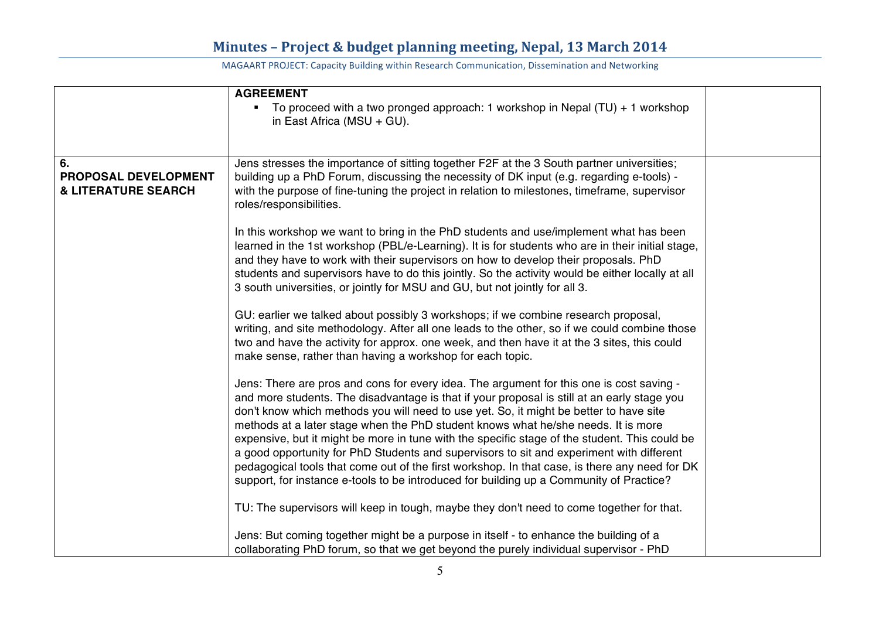|                                                                     | <b>AGREEMENT</b><br>• To proceed with a two pronged approach: 1 workshop in Nepal (TU) + 1 workshop<br>in East Africa (MSU + GU).                                                                                                                                                                                                                                                                                                                                                                                                                                                                                                                                                                                                                               |  |
|---------------------------------------------------------------------|-----------------------------------------------------------------------------------------------------------------------------------------------------------------------------------------------------------------------------------------------------------------------------------------------------------------------------------------------------------------------------------------------------------------------------------------------------------------------------------------------------------------------------------------------------------------------------------------------------------------------------------------------------------------------------------------------------------------------------------------------------------------|--|
| 6.<br><b>PROPOSAL DEVELOPMENT</b><br><b>&amp; LITERATURE SEARCH</b> | Jens stresses the importance of sitting together F2F at the 3 South partner universities;<br>building up a PhD Forum, discussing the necessity of DK input (e.g. regarding e-tools) -<br>with the purpose of fine-tuning the project in relation to milestones, timeframe, supervisor<br>roles/responsibilities.                                                                                                                                                                                                                                                                                                                                                                                                                                                |  |
|                                                                     | In this workshop we want to bring in the PhD students and use/implement what has been<br>learned in the 1st workshop (PBL/e-Learning). It is for students who are in their initial stage,<br>and they have to work with their supervisors on how to develop their proposals. PhD<br>students and supervisors have to do this jointly. So the activity would be either locally at all<br>3 south universities, or jointly for MSU and GU, but not jointly for all 3.                                                                                                                                                                                                                                                                                             |  |
|                                                                     | GU: earlier we talked about possibly 3 workshops; if we combine research proposal,<br>writing, and site methodology. After all one leads to the other, so if we could combine those<br>two and have the activity for approx. one week, and then have it at the 3 sites, this could<br>make sense, rather than having a workshop for each topic.                                                                                                                                                                                                                                                                                                                                                                                                                 |  |
|                                                                     | Jens: There are pros and cons for every idea. The argument for this one is cost saving -<br>and more students. The disadvantage is that if your proposal is still at an early stage you<br>don't know which methods you will need to use yet. So, it might be better to have site<br>methods at a later stage when the PhD student knows what he/she needs. It is more<br>expensive, but it might be more in tune with the specific stage of the student. This could be<br>a good opportunity for PhD Students and supervisors to sit and experiment with different<br>pedagogical tools that come out of the first workshop. In that case, is there any need for DK<br>support, for instance e-tools to be introduced for building up a Community of Practice? |  |
|                                                                     | TU: The supervisors will keep in tough, maybe they don't need to come together for that.                                                                                                                                                                                                                                                                                                                                                                                                                                                                                                                                                                                                                                                                        |  |
|                                                                     | Jens: But coming together might be a purpose in itself - to enhance the building of a<br>collaborating PhD forum, so that we get beyond the purely individual supervisor - PhD                                                                                                                                                                                                                                                                                                                                                                                                                                                                                                                                                                                  |  |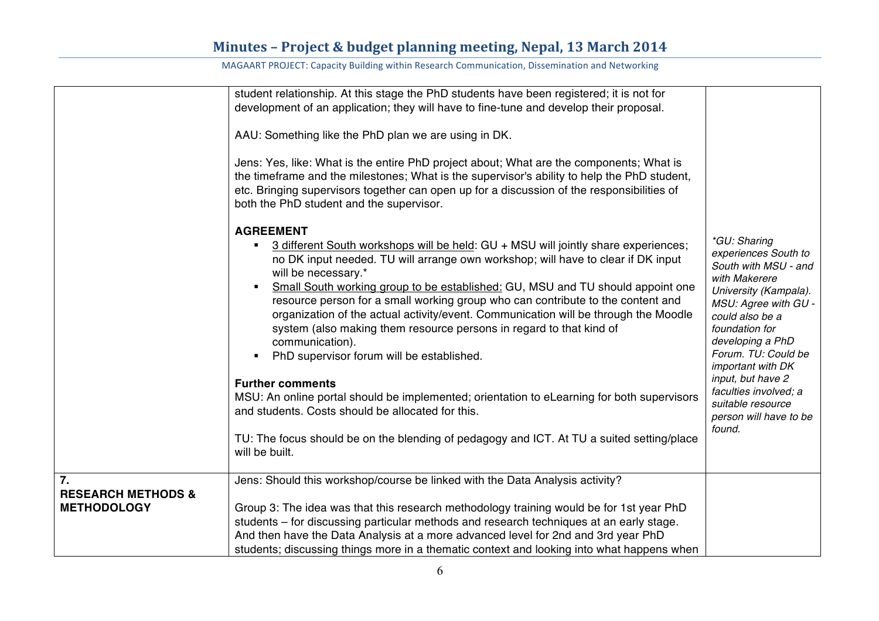|                                                                         | student relationship. At this stage the PhD students have been registered; it is not for<br>development of an application; they will have to fine-tune and develop their proposal.<br>AAU: Something like the PhD plan we are using in DK.<br>Jens: Yes, like: What is the entire PhD project about; What are the components; What is<br>the timeframe and the milestones; What is the supervisor's ability to help the PhD student,<br>etc. Bringing supervisors together can open up for a discussion of the responsibilities of<br>both the PhD student and the supervisor.                                                                                                                                                                                                                                                                                                                                    |                                                                                                                                                                                                                                                                                                                                            |
|-------------------------------------------------------------------------|-------------------------------------------------------------------------------------------------------------------------------------------------------------------------------------------------------------------------------------------------------------------------------------------------------------------------------------------------------------------------------------------------------------------------------------------------------------------------------------------------------------------------------------------------------------------------------------------------------------------------------------------------------------------------------------------------------------------------------------------------------------------------------------------------------------------------------------------------------------------------------------------------------------------|--------------------------------------------------------------------------------------------------------------------------------------------------------------------------------------------------------------------------------------------------------------------------------------------------------------------------------------------|
|                                                                         | <b>AGREEMENT</b><br>3 different South workshops will be held: GU + MSU will jointly share experiences;<br>no DK input needed. TU will arrange own workshop; will have to clear if DK input<br>will be necessary.*<br>Small South working group to be established: GU, MSU and TU should appoint one<br>resource person for a small working group who can contribute to the content and<br>organization of the actual activity/event. Communication will be through the Moodle<br>system (also making them resource persons in regard to that kind of<br>communication).<br>PhD supervisor forum will be established.<br><b>Further comments</b><br>MSU: An online portal should be implemented; orientation to eLearning for both supervisors<br>and students. Costs should be allocated for this.<br>TU: The focus should be on the blending of pedagogy and ICT. At TU a suited setting/place<br>will be built. | *GU: Sharing<br>experiences South to<br>South with MSU - and<br>with Makerere<br>University (Kampala).<br>MSU: Agree with GU -<br>could also be a<br>foundation for<br>developing a PhD<br>Forum. TU: Could be<br>important with DK<br>input, but have 2<br>faculties involved; a<br>suitable resource<br>person will have to be<br>found. |
| $\overline{7}$ .<br><b>RESEARCH METHODS &amp;</b><br><b>METHODOLOGY</b> | Jens: Should this workshop/course be linked with the Data Analysis activity?<br>Group 3: The idea was that this research methodology training would be for 1st year PhD<br>students – for discussing particular methods and research techniques at an early stage.<br>And then have the Data Analysis at a more advanced level for 2nd and 3rd year PhD<br>students; discussing things more in a thematic context and looking into what happens when                                                                                                                                                                                                                                                                                                                                                                                                                                                              |                                                                                                                                                                                                                                                                                                                                            |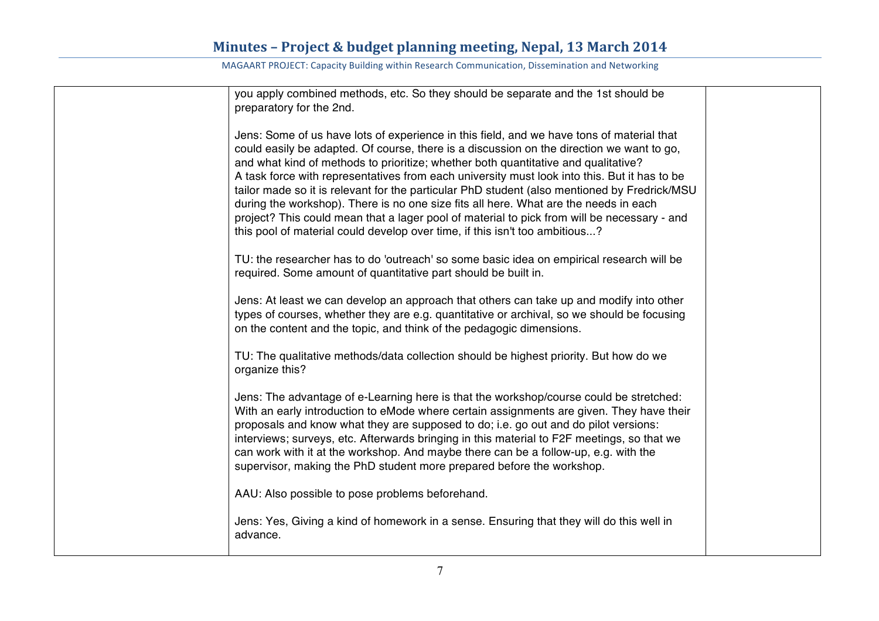| you apply combined methods, etc. So they should be separate and the 1st should be<br>preparatory for the 2nd.                                                                                                                                                                                                                                                                                                                                                                                                                                                                                                                                                                                                                                      |  |
|----------------------------------------------------------------------------------------------------------------------------------------------------------------------------------------------------------------------------------------------------------------------------------------------------------------------------------------------------------------------------------------------------------------------------------------------------------------------------------------------------------------------------------------------------------------------------------------------------------------------------------------------------------------------------------------------------------------------------------------------------|--|
| Jens: Some of us have lots of experience in this field, and we have tons of material that<br>could easily be adapted. Of course, there is a discussion on the direction we want to go,<br>and what kind of methods to prioritize; whether both quantitative and qualitative?<br>A task force with representatives from each university must look into this. But it has to be<br>tailor made so it is relevant for the particular PhD student (also mentioned by Fredrick/MSU<br>during the workshop). There is no one size fits all here. What are the needs in each<br>project? This could mean that a lager pool of material to pick from will be necessary - and<br>this pool of material could develop over time, if this isn't too ambitious? |  |
| TU: the researcher has to do 'outreach' so some basic idea on empirical research will be<br>required. Some amount of quantitative part should be built in.                                                                                                                                                                                                                                                                                                                                                                                                                                                                                                                                                                                         |  |
| Jens: At least we can develop an approach that others can take up and modify into other<br>types of courses, whether they are e.g. quantitative or archival, so we should be focusing<br>on the content and the topic, and think of the pedagogic dimensions.                                                                                                                                                                                                                                                                                                                                                                                                                                                                                      |  |
| TU: The qualitative methods/data collection should be highest priority. But how do we<br>organize this?                                                                                                                                                                                                                                                                                                                                                                                                                                                                                                                                                                                                                                            |  |
| Jens: The advantage of e-Learning here is that the workshop/course could be stretched:<br>With an early introduction to eMode where certain assignments are given. They have their<br>proposals and know what they are supposed to do; i.e. go out and do pilot versions:<br>interviews; surveys, etc. Afterwards bringing in this material to F2F meetings, so that we<br>can work with it at the workshop. And maybe there can be a follow-up, e.g. with the<br>supervisor, making the PhD student more prepared before the workshop.                                                                                                                                                                                                            |  |
| AAU: Also possible to pose problems beforehand.                                                                                                                                                                                                                                                                                                                                                                                                                                                                                                                                                                                                                                                                                                    |  |
| Jens: Yes, Giving a kind of homework in a sense. Ensuring that they will do this well in<br>advance.                                                                                                                                                                                                                                                                                                                                                                                                                                                                                                                                                                                                                                               |  |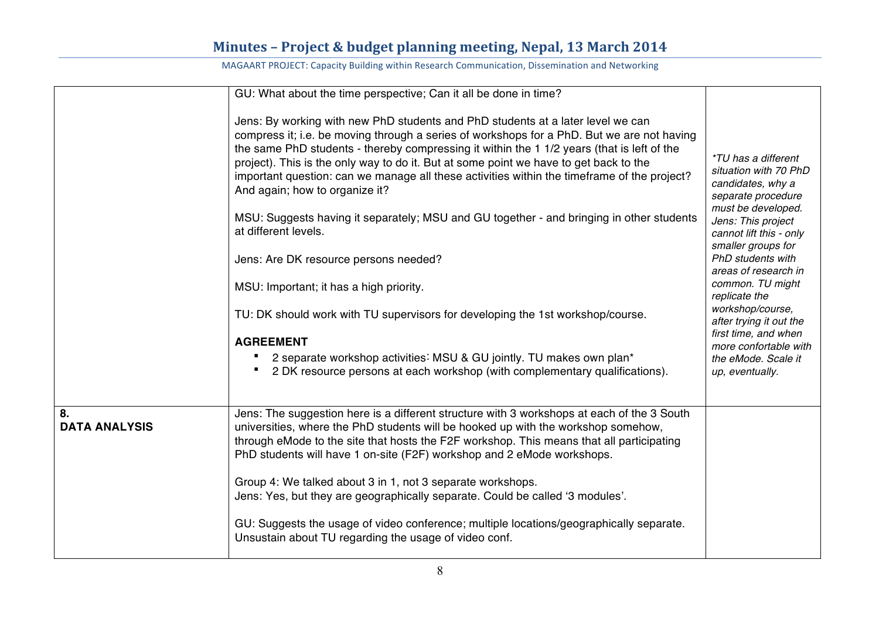|                            | GU: What about the time perspective; Can it all be done in time?                                                                                                                                                                                                                                                                                                                                                                                                                                                                                                                                                                                                                                                                                                                                                                                                                                                                                                           |                                                                                                                                                                                                                                                                                                                                                                                                                         |
|----------------------------|----------------------------------------------------------------------------------------------------------------------------------------------------------------------------------------------------------------------------------------------------------------------------------------------------------------------------------------------------------------------------------------------------------------------------------------------------------------------------------------------------------------------------------------------------------------------------------------------------------------------------------------------------------------------------------------------------------------------------------------------------------------------------------------------------------------------------------------------------------------------------------------------------------------------------------------------------------------------------|-------------------------------------------------------------------------------------------------------------------------------------------------------------------------------------------------------------------------------------------------------------------------------------------------------------------------------------------------------------------------------------------------------------------------|
|                            | Jens: By working with new PhD students and PhD students at a later level we can<br>compress it; i.e. be moving through a series of workshops for a PhD. But we are not having<br>the same PhD students - thereby compressing it within the 1 1/2 years (that is left of the<br>project). This is the only way to do it. But at some point we have to get back to the<br>important question: can we manage all these activities within the timeframe of the project?<br>And again; how to organize it?<br>MSU: Suggests having it separately; MSU and GU together - and bringing in other students<br>at different levels.<br>Jens: Are DK resource persons needed?<br>MSU: Important; it has a high priority.<br>TU: DK should work with TU supervisors for developing the 1st workshop/course.<br><b>AGREEMENT</b><br>2 separate workshop activities: MSU & GU jointly. TU makes own plan*<br>2 DK resource persons at each workshop (with complementary qualifications). | <i>*TU has a different</i><br>situation with 70 PhD<br>candidates, why a<br>separate procedure<br>must be developed.<br>Jens: This project<br>cannot lift this - only<br>smaller groups for<br>PhD students with<br>areas of research in<br>common. TU might<br>replicate the<br>workshop/course,<br>after trying it out the<br>first time, and when<br>more confortable with<br>the eMode. Scale it<br>up, eventually. |
| 8.<br><b>DATA ANALYSIS</b> | Jens: The suggestion here is a different structure with 3 workshops at each of the 3 South<br>universities, where the PhD students will be hooked up with the workshop somehow,<br>through eMode to the site that hosts the F2F workshop. This means that all participating<br>PhD students will have 1 on-site (F2F) workshop and 2 eMode workshops.<br>Group 4: We talked about 3 in 1, not 3 separate workshops.<br>Jens: Yes, but they are geographically separate. Could be called '3 modules'.<br>GU: Suggests the usage of video conference; multiple locations/geographically separate.<br>Unsustain about TU regarding the usage of video conf.                                                                                                                                                                                                                                                                                                                   |                                                                                                                                                                                                                                                                                                                                                                                                                         |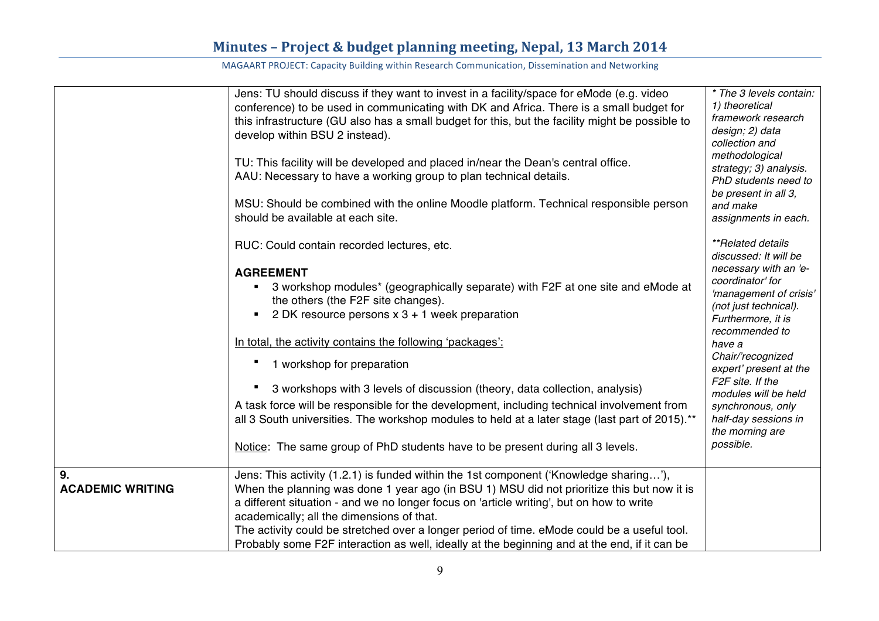|                         | Jens: TU should discuss if they want to invest in a facility/space for eMode (e.g. video<br>conference) to be used in communicating with DK and Africa. There is a small budget for<br>this infrastructure (GU also has a small budget for this, but the facility might be possible to<br>develop within BSU 2 instead).<br>TU: This facility will be developed and placed in/near the Dean's central office.<br>AAU: Necessary to have a working group to plan technical details.<br>MSU: Should be combined with the online Moodle platform. Technical responsible person<br>should be available at each site.<br>RUC: Could contain recorded lectures, etc.<br><b>AGREEMENT</b><br>3 workshop modules* (geographically separate) with F2F at one site and eMode at<br>the others (the F2F site changes).<br>2 DK resource persons $x$ 3 + 1 week preparation<br>In total, the activity contains the following 'packages':<br>1 workshop for preparation<br>3 workshops with 3 levels of discussion (theory, data collection, analysis)<br>A task force will be responsible for the development, including technical involvement from<br>all 3 South universities. The workshop modules to held at a later stage (last part of 2015).**<br>Notice: The same group of PhD students have to be present during all 3 levels. | * The 3 levels contain:<br>1) theoretical<br>framework research<br>design; 2) data<br>collection and<br>methodological<br>strategy; 3) analysis.<br>PhD students need to<br>be present in all 3,<br>and make<br>assignments in each.<br><i>**Related details</i><br>discussed: It will be<br>necessary with an 'e-<br>coordinator' for<br>'management of crisis'<br>(not just technical).<br>Furthermore, it is<br>recommended to<br>have a<br>Chair/'recognized<br>expert' present at the<br>F2F site. If the<br>modules will be held<br>synchronous, only<br>half-day sessions in<br>the morning are<br>possible. |
|-------------------------|-----------------------------------------------------------------------------------------------------------------------------------------------------------------------------------------------------------------------------------------------------------------------------------------------------------------------------------------------------------------------------------------------------------------------------------------------------------------------------------------------------------------------------------------------------------------------------------------------------------------------------------------------------------------------------------------------------------------------------------------------------------------------------------------------------------------------------------------------------------------------------------------------------------------------------------------------------------------------------------------------------------------------------------------------------------------------------------------------------------------------------------------------------------------------------------------------------------------------------------------------------------------------------------------------------------------------------|---------------------------------------------------------------------------------------------------------------------------------------------------------------------------------------------------------------------------------------------------------------------------------------------------------------------------------------------------------------------------------------------------------------------------------------------------------------------------------------------------------------------------------------------------------------------------------------------------------------------|
| 9.                      | Jens: This activity (1.2.1) is funded within the 1st component ('Knowledge sharing'),                                                                                                                                                                                                                                                                                                                                                                                                                                                                                                                                                                                                                                                                                                                                                                                                                                                                                                                                                                                                                                                                                                                                                                                                                                       |                                                                                                                                                                                                                                                                                                                                                                                                                                                                                                                                                                                                                     |
| <b>ACADEMIC WRITING</b> | When the planning was done 1 year ago (in BSU 1) MSU did not prioritize this but now it is<br>a different situation - and we no longer focus on 'article writing', but on how to write<br>academically; all the dimensions of that.<br>The activity could be stretched over a longer period of time. eMode could be a useful tool.<br>Probably some F2F interaction as well, ideally at the beginning and at the end, if it can be                                                                                                                                                                                                                                                                                                                                                                                                                                                                                                                                                                                                                                                                                                                                                                                                                                                                                          |                                                                                                                                                                                                                                                                                                                                                                                                                                                                                                                                                                                                                     |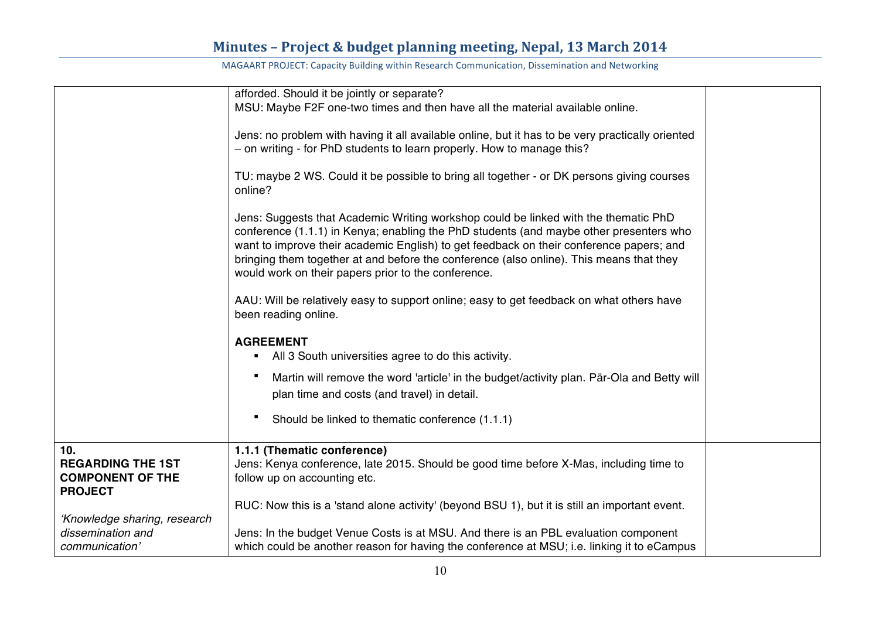|                                                                              | afforded. Should it be jointly or separate?                                                                                                                                                                                                                                                                                                                                                                                |  |
|------------------------------------------------------------------------------|----------------------------------------------------------------------------------------------------------------------------------------------------------------------------------------------------------------------------------------------------------------------------------------------------------------------------------------------------------------------------------------------------------------------------|--|
|                                                                              | MSU: Maybe F2F one-two times and then have all the material available online.                                                                                                                                                                                                                                                                                                                                              |  |
|                                                                              | Jens: no problem with having it all available online, but it has to be very practically oriented<br>- on writing - for PhD students to learn properly. How to manage this?                                                                                                                                                                                                                                                 |  |
|                                                                              | TU: maybe 2 WS. Could it be possible to bring all together - or DK persons giving courses<br>online?                                                                                                                                                                                                                                                                                                                       |  |
|                                                                              | Jens: Suggests that Academic Writing workshop could be linked with the thematic PhD<br>conference (1.1.1) in Kenya; enabling the PhD students (and maybe other presenters who<br>want to improve their academic English) to get feedback on their conference papers; and<br>bringing them together at and before the conference (also online). This means that they<br>would work on their papers prior to the conference. |  |
|                                                                              | AAU: Will be relatively easy to support online; easy to get feedback on what others have<br>been reading online.                                                                                                                                                                                                                                                                                                           |  |
|                                                                              | <b>AGREEMENT</b><br>• All 3 South universities agree to do this activity.                                                                                                                                                                                                                                                                                                                                                  |  |
|                                                                              | Martin will remove the word 'article' in the budget/activity plan. Pär-Ola and Betty will<br>plan time and costs (and travel) in detail.                                                                                                                                                                                                                                                                                   |  |
|                                                                              | Should be linked to thematic conference (1.1.1)                                                                                                                                                                                                                                                                                                                                                                            |  |
| 10.<br><b>REGARDING THE 1ST</b><br><b>COMPONENT OF THE</b><br><b>PROJECT</b> | 1.1.1 (Thematic conference)<br>Jens: Kenya conference, late 2015. Should be good time before X-Mas, including time to<br>follow up on accounting etc.                                                                                                                                                                                                                                                                      |  |
| 'Knowledge sharing, research                                                 | RUC: Now this is a 'stand alone activity' (beyond BSU 1), but it is still an important event.                                                                                                                                                                                                                                                                                                                              |  |
| dissemination and<br>communication'                                          | Jens: In the budget Venue Costs is at MSU. And there is an PBL evaluation component<br>which could be another reason for having the conference at MSU; i.e. linking it to eCampus                                                                                                                                                                                                                                          |  |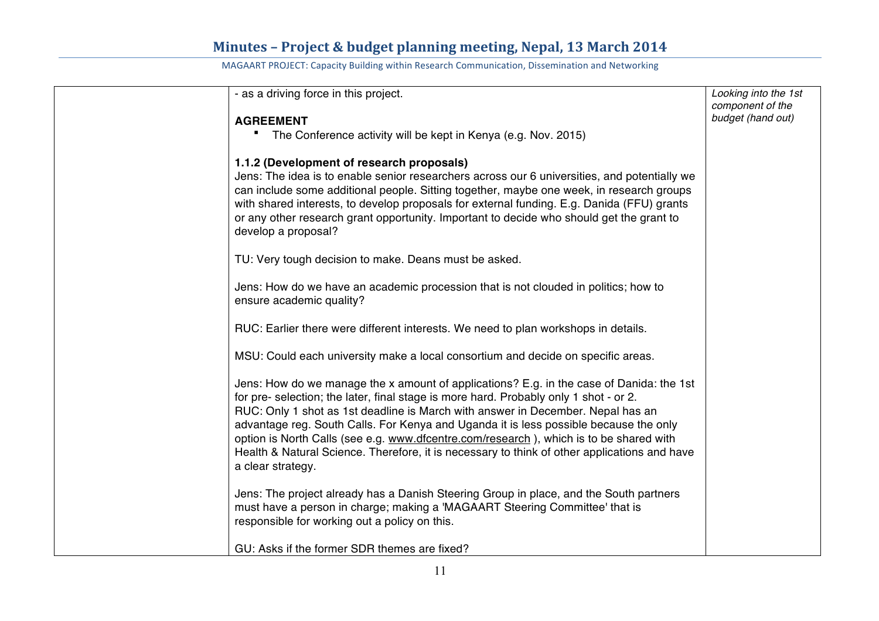| - as a driving force in this project.                                                                                                                                 | Looking into the 1st                  |
|-----------------------------------------------------------------------------------------------------------------------------------------------------------------------|---------------------------------------|
|                                                                                                                                                                       | component of the<br>budget (hand out) |
| <b>AGREEMENT</b>                                                                                                                                                      |                                       |
| The Conference activity will be kept in Kenya (e.g. Nov. 2015)                                                                                                        |                                       |
| 1.1.2 (Development of research proposals)                                                                                                                             |                                       |
| Jens: The idea is to enable senior researchers across our 6 universities, and potentially we                                                                          |                                       |
| can include some additional people. Sitting together, maybe one week, in research groups                                                                              |                                       |
| with shared interests, to develop proposals for external funding. E.g. Danida (FFU) grants                                                                            |                                       |
| or any other research grant opportunity. Important to decide who should get the grant to                                                                              |                                       |
| develop a proposal?                                                                                                                                                   |                                       |
|                                                                                                                                                                       |                                       |
| TU: Very tough decision to make. Deans must be asked.                                                                                                                 |                                       |
| Jens: How do we have an academic procession that is not clouded in politics; how to                                                                                   |                                       |
| ensure academic quality?                                                                                                                                              |                                       |
|                                                                                                                                                                       |                                       |
| RUC: Earlier there were different interests. We need to plan workshops in details.                                                                                    |                                       |
|                                                                                                                                                                       |                                       |
| MSU: Could each university make a local consortium and decide on specific areas.                                                                                      |                                       |
| Jens: How do we manage the x amount of applications? E.g. in the case of Danida: the 1st                                                                              |                                       |
| for pre- selection; the later, final stage is more hard. Probably only 1 shot - or 2.                                                                                 |                                       |
| RUC: Only 1 shot as 1st deadline is March with answer in December. Nepal has an                                                                                       |                                       |
| advantage reg. South Calls. For Kenya and Uganda it is less possible because the only                                                                                 |                                       |
| option is North Calls (see e.g. www.dfcentre.com/research), which is to be shared with                                                                                |                                       |
| Health & Natural Science. Therefore, it is necessary to think of other applications and have                                                                          |                                       |
| a clear strategy.                                                                                                                                                     |                                       |
|                                                                                                                                                                       |                                       |
| Jens: The project already has a Danish Steering Group in place, and the South partners<br>must have a person in charge; making a 'MAGAART Steering Committee' that is |                                       |
| responsible for working out a policy on this.                                                                                                                         |                                       |
|                                                                                                                                                                       |                                       |
| GU: Asks if the former SDR themes are fixed?                                                                                                                          |                                       |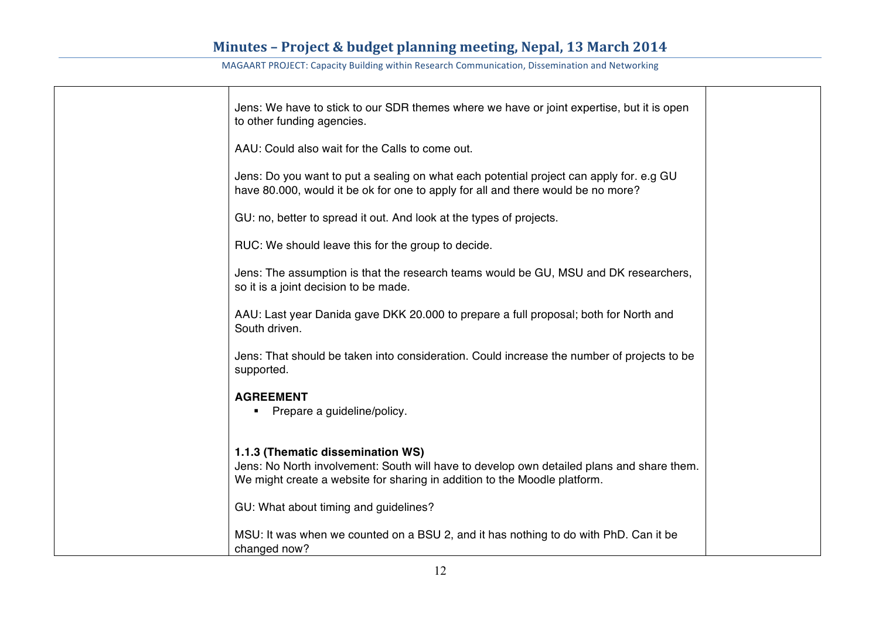| Jens: We have to stick to our SDR themes where we have or joint expertise, but it is open<br>to other funding agencies.                                                                                     |  |
|-------------------------------------------------------------------------------------------------------------------------------------------------------------------------------------------------------------|--|
| AAU: Could also wait for the Calls to come out.                                                                                                                                                             |  |
| Jens: Do you want to put a sealing on what each potential project can apply for. e.g GU<br>have 80.000, would it be ok for one to apply for all and there would be no more?                                 |  |
| GU: no, better to spread it out. And look at the types of projects.                                                                                                                                         |  |
| RUC: We should leave this for the group to decide.                                                                                                                                                          |  |
| Jens: The assumption is that the research teams would be GU, MSU and DK researchers,<br>so it is a joint decision to be made.                                                                               |  |
| AAU: Last year Danida gave DKK 20.000 to prepare a full proposal; both for North and<br>South driven.                                                                                                       |  |
| Jens: That should be taken into consideration. Could increase the number of projects to be<br>supported.                                                                                                    |  |
| <b>AGREEMENT</b><br>Prepare a guideline/policy.                                                                                                                                                             |  |
| 1.1.3 (Thematic dissemination WS)<br>Jens: No North involvement: South will have to develop own detailed plans and share them.<br>We might create a website for sharing in addition to the Moodle platform. |  |
| GU: What about timing and guidelines?                                                                                                                                                                       |  |
| MSU: It was when we counted on a BSU 2, and it has nothing to do with PhD. Can it be<br>changed now?                                                                                                        |  |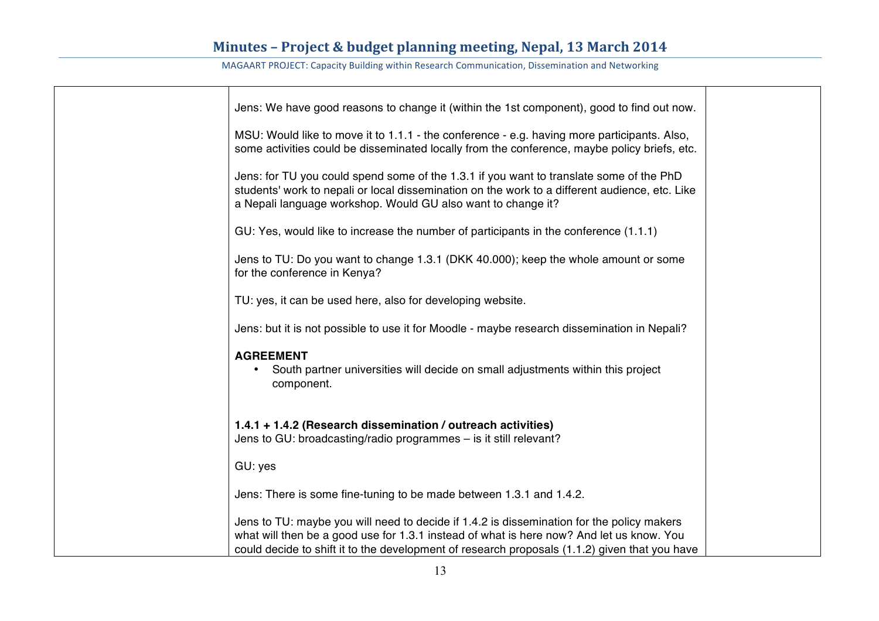| Jens: We have good reasons to change it (within the 1st component), good to find out now.                                                                                                                                                                                              |  |
|----------------------------------------------------------------------------------------------------------------------------------------------------------------------------------------------------------------------------------------------------------------------------------------|--|
| MSU: Would like to move it to 1.1.1 - the conference - e.g. having more participants. Also,<br>some activities could be disseminated locally from the conference, maybe policy briefs, etc.                                                                                            |  |
| Jens: for TU you could spend some of the 1.3.1 if you want to translate some of the PhD<br>students' work to nepali or local dissemination on the work to a different audience, etc. Like<br>a Nepali language workshop. Would GU also want to change it?                              |  |
| GU: Yes, would like to increase the number of participants in the conference (1.1.1)                                                                                                                                                                                                   |  |
| Jens to TU: Do you want to change 1.3.1 (DKK 40.000); keep the whole amount or some<br>for the conference in Kenya?                                                                                                                                                                    |  |
| TU: yes, it can be used here, also for developing website.                                                                                                                                                                                                                             |  |
| Jens: but it is not possible to use it for Moodle - maybe research dissemination in Nepali?                                                                                                                                                                                            |  |
| <b>AGREEMENT</b><br>South partner universities will decide on small adjustments within this project<br>component.                                                                                                                                                                      |  |
| 1.4.1 + 1.4.2 (Research dissemination / outreach activities)<br>Jens to GU: broadcasting/radio programmes - is it still relevant?                                                                                                                                                      |  |
| GU: yes                                                                                                                                                                                                                                                                                |  |
| Jens: There is some fine-tuning to be made between 1.3.1 and 1.4.2.                                                                                                                                                                                                                    |  |
| Jens to TU: maybe you will need to decide if 1.4.2 is dissemination for the policy makers<br>what will then be a good use for 1.3.1 instead of what is here now? And let us know. You<br>could decide to shift it to the development of research proposals (1.1.2) given that you have |  |
|                                                                                                                                                                                                                                                                                        |  |